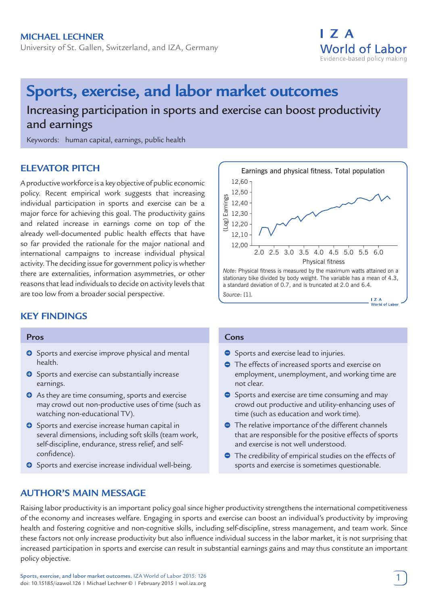

# **Sports, exercise, and labor market outcomes**

Increasing participation in sports and exercise can boost productivity and earnings

Keywords: human capital, earnings, public health

# **ELEVATOR PITCH**

A productive workforce is a key objective of public economic policy. Recent empirical work suggests that increasing individual participation in sports and exercise can be a major force for achieving this goal. The productivity gains and related increase in earnings come on top of the already well-documented public health effects that have so far provided the rationale for the major national and international campaigns to increase individual physical activity. The deciding issue for government policy is whether there are externalities, information asymmetries, or other reasons that lead individuals to decide on activity levels that are too low from a broader social perspective.

# **KEY FINDINGS**

#### **Pros**

- **O** Sports and exercise improve physical and mental health.
- **O** Sports and exercise can substantially increase earnings.
- **O** As they are time consuming, sports and exercise may crowd out non-productive uses of time (such as watching non-educational TV).
- **O** Sports and exercise increase human capital in several dimensions, including soft skills (team work, self-discipline, endurance, stress relief, and selfconfidence).
- **O** Sports and exercise increase individual well-being.

## **AUTHOR'S MAIN MESSAGE**



#### **Cons**

- **Sports and exercise lead to injuries.**
- The effects of increased sports and exercise on employment, unemployment, and working time are not clear.
- Sports and exercise are time consuming and may crowd out productive and utility-enhancing uses of time (such as education and work time).
- The relative importance of the different channels that are responsible for the positive effects of sports and exercise is not well understood.
- **•** The credibility of empirical studies on the effects of sports and exercise is sometimes questionable.

Raising labor productivity is an important policy goal since higher productivity strengthens the international competitiveness of the economy and increases welfare. Engaging in sports and exercise can boost an individual's productivity by improving health and fostering cognitive and non-cognitive skills, including self-discipline, stress management, and team work. Since these factors not only increase productivity but also influence individual success in the labor market, it is not surprising that increased participation in sports and exercise can result in substantial earnings gains and may thus constitute an important policy objective.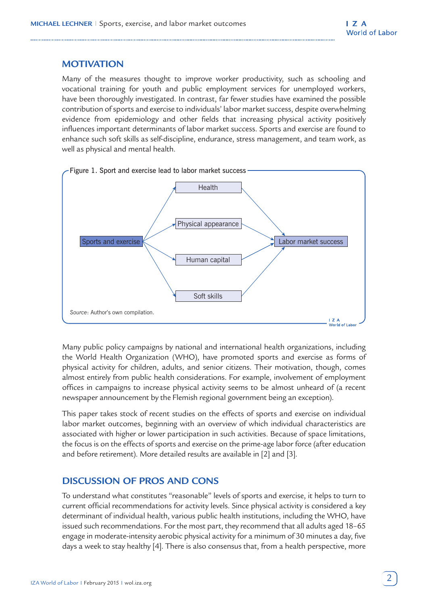## **MOTIVATION**

Many of the measures thought to improve worker productivity, such as schooling and vocational training for youth and public employment services for unemployed workers, have been thoroughly investigated. In contrast, far fewer studies have examined the possible contribution of sports and exercise to individuals' labor market success, despite overwhelming evidence from epidemiology and other fields that increasing physical activity positively influences important determinants of labor market success. Sports and exercise are found to enhance such soft skills as self-discipline, endurance, stress management, and team work, as well as physical and mental health.



Many public policy campaigns by national and international health organizations, including the World Health Organization (WHO), have promoted sports and exercise as forms of physical activity for children, adults, and senior citizens. Their motivation, though, comes almost entirely from public health considerations. For example, involvement of employment offices in campaigns to increase physical activity seems to be almost unheard of (a recent newspaper announcement by the Flemish regional government being an exception).

This paper takes stock of recent studies on the effects of sports and exercise on individual labor market outcomes, beginning with an overview of which individual characteristics are associated with higher or lower participation in such activities. Because of space limitations, the focus is on the effects of sports and exercise on the prime-age labor force (after education and before retirement). More detailed results are available in [2] and [3].

# **DISCUSSION OF PROS AND CONS**

To understand what constitutes "reasonable" levels of sports and exercise, it helps to turn to current official recommendations for activity levels. Since physical activity is considered a key determinant of individual health, various public health institutions, including the WHO, have issued such recommendations. For the most part, they recommend that all adults aged 18–65 engage in moderate-intensity aerobic physical activity for a minimum of 30 minutes a day, five days a week to stay healthy [4]. There is also consensus that, from a health perspective, more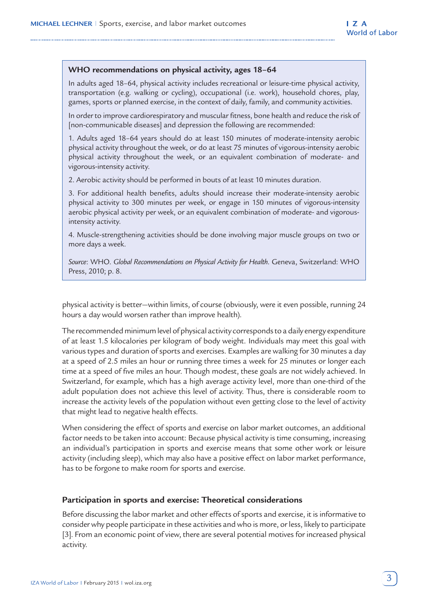#### **WHO recommendations on physical activity, ages 18–64**

In adults aged 18–64, physical activity includes recreational or leisure-time physical activity, transportation (e.g. walking or cycling), occupational (i.e. work), household chores, play, games, sports or planned exercise, in the context of daily, family, and community activities.

In order to improve cardiorespiratory and muscular fitness, bone health and reduce the risk of [non-communicable diseases] and depression the following are recommended:

1. Adults aged 18–64 years should do at least 150 minutes of moderate-intensity aerobic physical activity throughout the week, or do at least 75 minutes of vigorous-intensity aerobic physical activity throughout the week, or an equivalent combination of moderate- and vigorous-intensity activity.

2. Aerobic activity should be performed in bouts of at least 10 minutes duration.

3. For additional health benefits, adults should increase their moderate-intensity aerobic physical activity to 300 minutes per week, or engage in 150 minutes of vigorous-intensity aerobic physical activity per week, or an equivalent combination of moderate- and vigorousintensity activity.

4. Muscle-strengthening activities should be done involving major muscle groups on two or more days a week.

*Source*: WHO. *Global Recommendations on Physical Activity for Health*. Geneva, Switzerland: WHO Press, 2010; p. 8.

physical activity is better—within limits, of course (obviously, were it even possible, running 24 hours a day would worsen rather than improve health).

The recommended minimum level of physical activity corresponds to a daily energy expenditure of at least 1.5 kilocalories per kilogram of body weight. Individuals may meet this goal with various types and duration of sports and exercises. Examples are walking for 30 minutes a day at a speed of 2.5 miles an hour or running three times a week for 25 minutes or longer each time at a speed of five miles an hour. Though modest, these goals are not widely achieved. In Switzerland, for example, which has a high average activity level, more than one-third of the adult population does not achieve this level of activity. Thus, there is considerable room to increase the activity levels of the population without even getting close to the level of activity that might lead to negative health effects.

When considering the effect of sports and exercise on labor market outcomes, an additional factor needs to be taken into account: Because physical activity is time consuming, increasing an individual's participation in sports and exercise means that some other work or leisure activity (including sleep), which may also have a positive effect on labor market performance, has to be forgone to make room for sports and exercise.

#### **Participation in sports and exercise: Theoretical considerations**

Before discussing the labor market and other effects of sports and exercise, it is informative to consider why people participate in these activities and who is more, or less, likely to participate [3]. From an economic point of view, there are several potential motives for increased physical activity.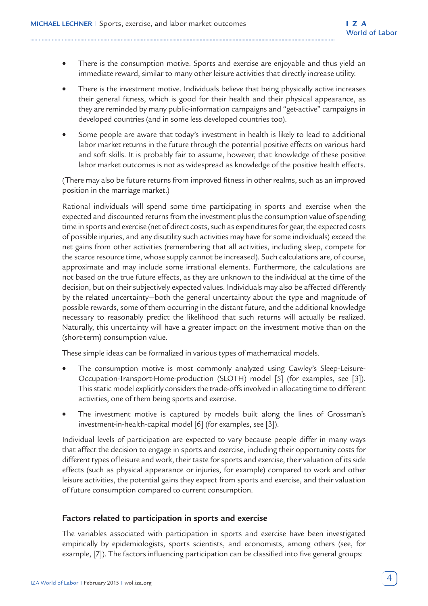- There is the consumption motive. Sports and exercise are enjoyable and thus yield an immediate reward, similar to many other leisure activities that directly increase utility.
- There is the investment motive. Individuals believe that being physically active increases their general fitness, which is good for their health and their physical appearance, as they are reminded by many public-information campaigns and "get-active" campaigns in developed countries (and in some less developed countries too).
- Some people are aware that today's investment in health is likely to lead to additional labor market returns in the future through the potential positive effects on various hard and soft skills. It is probably fair to assume, however, that knowledge of these positive labor market outcomes is not as widespread as knowledge of the positive health effects.

(There may also be future returns from improved fitness in other realms, such as an improved position in the marriage market.)

Rational individuals will spend some time participating in sports and exercise when the expected and discounted returns from the investment plus the consumption value of spending time in sports and exercise (net of direct costs, such as expenditures for gear, the expected costs of possible injuries, and any disutility such activities may have for some individuals) exceed the net gains from other activities (remembering that all activities, including sleep, compete for the scarce resource time, whose supply cannot be increased). Such calculations are, of course, approximate and may include some irrational elements. Furthermore, the calculations are not based on the true future effects, as they are unknown to the individual at the time of the decision, but on their subjectively expected values. Individuals may also be affected differently by the related uncertainty—both the general uncertainty about the type and magnitude of possible rewards, some of them occurring in the distant future, and the additional knowledge necessary to reasonably predict the likelihood that such returns will actually be realized. Naturally, this uncertainty will have a greater impact on the investment motive than on the (short-term) consumption value.

These simple ideas can be formalized in various types of mathematical models.

- The consumption motive is most commonly analyzed using Cawley's Sleep-Leisure-Occupation-Transport-Home-production (SLOTH) model [5] (for examples, see [3]). This static model explicitly considers the trade-offs involved in allocating time to different activities, one of them being sports and exercise.
- The investment motive is captured by models built along the lines of Grossman's investment-in-health-capital model [6] (for examples, see [3]).

Individual levels of participation are expected to vary because people differ in many ways that affect the decision to engage in sports and exercise, including their opportunity costs for different types of leisure and work, their taste for sports and exercise, their valuation of its side effects (such as physical appearance or injuries, for example) compared to work and other leisure activities, the potential gains they expect from sports and exercise, and their valuation of future consumption compared to current consumption.

## **Factors related to participation in sports and exercise**

The variables associated with participation in sports and exercise have been investigated empirically by epidemiologists, sports scientists, and economists, among others (see, for example, [7]). The factors influencing participation can be classified into five general groups: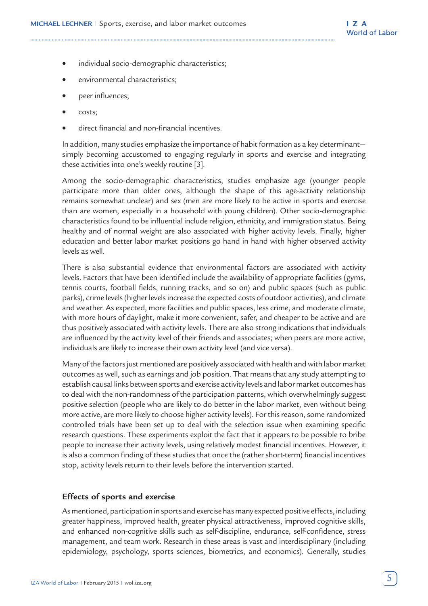- individual socio-demographic characteristics;
- environmental characteristics;
- peer influences;
- costs;
- direct financial and non-financial incentives.

In addition, many studies emphasize the importance of habit formation as a key determinant simply becoming accustomed to engaging regularly in sports and exercise and integrating these activities into one's weekly routine [3].

Among the socio-demographic characteristics, studies emphasize age (younger people participate more than older ones, although the shape of this age-activity relationship remains somewhat unclear) and sex (men are more likely to be active in sports and exercise than are women, especially in a household with young children). Other socio-demographic characteristics found to be influential include religion, ethnicity, and immigration status. Being healthy and of normal weight are also associated with higher activity levels. Finally, higher education and better labor market positions go hand in hand with higher observed activity levels as well.

There is also substantial evidence that environmental factors are associated with activity levels. Factors that have been identified include the availability of appropriate facilities (gyms, tennis courts, football fields, running tracks, and so on) and public spaces (such as public parks), crime levels (higher levels increase the expected costs of outdoor activities), and climate and weather. As expected, more facilities and public spaces, less crime, and moderate climate, with more hours of daylight, make it more convenient, safer, and cheaper to be active and are thus positively associated with activity levels. There are also strong indications that individuals are influenced by the activity level of their friends and associates; when peers are more active, individuals are likely to increase their own activity level (and vice versa).

Many of the factors just mentioned are positively associated with health and with labor market outcomes as well, such as earnings and job position. That means that any study attempting to establish causal links between sports and exercise activity levels and labor market outcomes has to deal with the non-randomness of the participation patterns, which overwhelmingly suggest positive selection (people who are likely to do better in the labor market, even without being more active, are more likely to choose higher activity levels). For this reason, some randomized controlled trials have been set up to deal with the selection issue when examining specific research questions. These experiments exploit the fact that it appears to be possible to bribe people to increase their activity levels, using relatively modest financial incentives. However, it is also a common finding of these studies that once the (rather short-term) financial incentives stop, activity levels return to their levels before the intervention started.

#### **Effects of sports and exercise**

As mentioned, participation in sports and exercise has many expected positive effects, including greater happiness, improved health, greater physical attractiveness, improved cognitive skills, and enhanced non-cognitive skills such as self-discipline, endurance, self-confidence, stress management, and team work. Research in these areas is vast and interdisciplinary (including epidemiology, psychology, sports sciences, biometrics, and economics). Generally, studies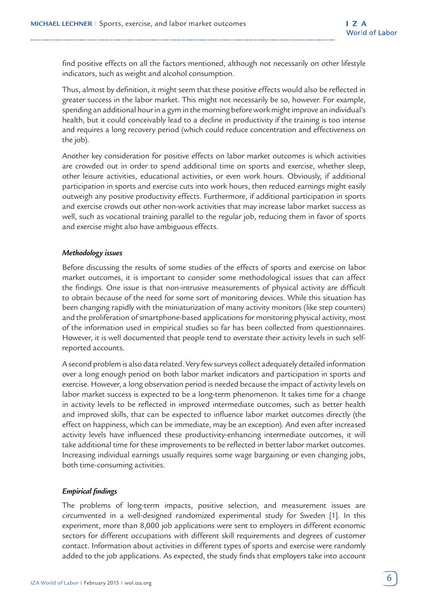find positive effects on all the factors mentioned, although not necessarily on other lifestyle indicators, such as weight and alcohol consumption.

Thus, almost by definition, it might seem that these positive effects would also be reflected in greater success in the labor market. This might not necessarily be so, however. For example, spending an additional hour in a gym in the morning before work might improve an individual's health, but it could conceivably lead to a decline in productivity if the training is too intense and requires a long recovery period (which could reduce concentration and effectiveness on the job).

Another key consideration for positive effects on labor market outcomes is which activities are crowded out in order to spend additional time on sports and exercise, whether sleep, other leisure activities, educational activities, or even work hours. Obviously, if additional participation in sports and exercise cuts into work hours, then reduced earnings might easily outweigh any positive productivity effects. Furthermore, if additional participation in sports and exercise crowds out other non-work activities that may increase labor market success as well, such as vocational training parallel to the regular job, reducing them in favor of sports and exercise might also have ambiguous effects.

#### *Methodology issues*

Before discussing the results of some studies of the effects of sports and exercise on labor market outcomes, it is important to consider some methodological issues that can affect the findings. One issue is that non-intrusive measurements of physical activity are difficult to obtain because of the need for some sort of monitoring devices. While this situation has been changing rapidly with the miniaturization of many activity monitors (like step counters) and the proliferation of smartphone-based applications for monitoring physical activity, most of the information used in empirical studies so far has been collected from questionnaires. However, it is well documented that people tend to overstate their activity levels in such selfreported accounts.

A second problem is also data related. Very few surveys collect adequately detailed information over a long enough period on both labor market indicators and participation in sports and exercise. However, a long observation period is needed because the impact of activity levels on labor market success is expected to be a long-term phenomenon. It takes time for a change in activity levels to be reflected in improved intermediate outcomes, such as better health and improved skills, that can be expected to influence labor market outcomes directly (the effect on happiness, which can be immediate, may be an exception). And even after increased activity levels have influenced these productivity-enhancing intermediate outcomes, it will take additional time for these improvements to be reflected in better labor market outcomes. Increasing individual earnings usually requires some wage bargaining or even changing jobs, both time-consuming activities.

#### *Empirical findings*

The problems of long-term impacts, positive selection, and measurement issues are circumvented in a well-designed randomized experimental study for Sweden [1]. In this experiment, more than 8,000 job applications were sent to employers in different economic sectors for different occupations with different skill requirements and degrees of customer contact. Information about activities in different types of sports and exercise were randomly added to the job applications. As expected, the study finds that employers take into account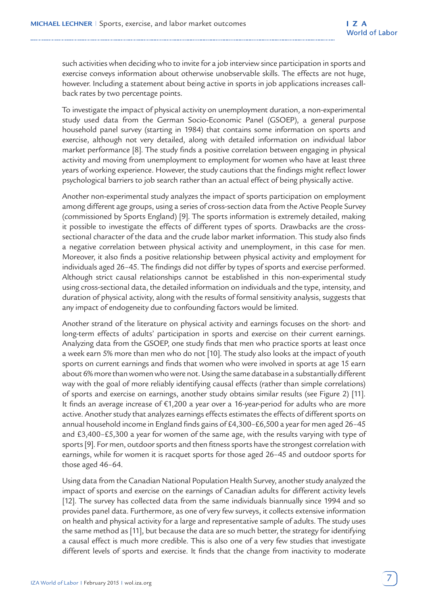such activities when deciding who to invite for a job interview since participation in sports and exercise conveys information about otherwise unobservable skills. The effects are not huge, however. Including a statement about being active in sports in job applications increases callback rates by two percentage points.

To investigate the impact of physical activity on unemployment duration, a non-experimental study used data from the German Socio-Economic Panel (GSOEP), a general purpose household panel survey (starting in 1984) that contains some information on sports and exercise, although not very detailed, along with detailed information on individual labor market performance [8]. The study finds a positive correlation between engaging in physical activity and moving from unemployment to employment for women who have at least three years of working experience. However, the study cautions that the findings might reflect lower psychological barriers to job search rather than an actual effect of being physically active.

Another non-experimental study analyzes the impact of sports participation on employment among different age groups, using a series of cross-section data from the Active People Survey (commissioned by Sports England) [9]. The sports information is extremely detailed, making it possible to investigate the effects of different types of sports. Drawbacks are the crosssectional character of the data and the crude labor market information. This study also finds a negative correlation between physical activity and unemployment, in this case for men. Moreover, it also finds a positive relationship between physical activity and employment for individuals aged 26–45. The findings did not differ by types of sports and exercise performed. Although strict causal relationships cannot be established in this non-experimental study using cross-sectional data, the detailed information on individuals and the type, intensity, and duration of physical activity, along with the results of formal sensitivity analysis, suggests that any impact of endogeneity due to confounding factors would be limited.

Another strand of the literature on physical activity and earnings focuses on the short- and long-term effects of adults' participation in sports and exercise on their current earnings. Analyzing data from the GSOEP, one study finds that men who practice sports at least once a week earn 5% more than men who do not [10]. The study also looks at the impact of youth sports on current earnings and finds that women who were involved in sports at age 15 earn about 6% more than women who were not. Using the same database in a substantially different way with the goal of more reliably identifying causal effects (rather than simple correlations) of sports and exercise on earnings, another study obtains similar results (see Figure 2) [11]. It finds an average increase of €1,200 a year over a 16-year-period for adults who are more active. Another study that analyzes earnings effects estimates the effects of different sports on annual household income in England finds gains of £4,300–£6,500 a year for men aged 26–45 and £3,400–£5,300 a year for women of the same age, with the results varying with type of sports [9]. For men, outdoor sports and then fitness sports have the strongest correlation with earnings, while for women it is racquet sports for those aged 26–45 and outdoor sports for those aged 46–64.

Using data from the Canadian National Population Health Survey, another study analyzed the impact of sports and exercise on the earnings of Canadian adults for different activity levels [12]. The survey has collected data from the same individuals biannually since 1994 and so provides panel data. Furthermore, as one of very few surveys, it collects extensive information on health and physical activity for a large and representative sample of adults. The study uses the same method as [11], but because the data are so much better, the strategy for identifying a causal effect is much more credible. This is also one of a very few studies that investigate different levels of sports and exercise. It finds that the change from inactivity to moderate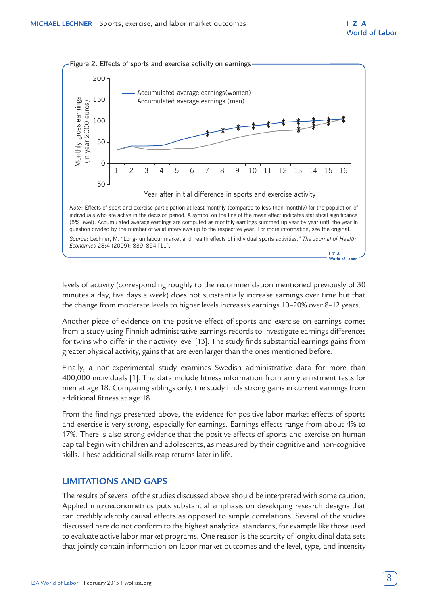

levels of activity (corresponding roughly to the recommendation mentioned previously of 30 minutes a day, five days a week) does not substantially increase earnings over time but that the change from moderate levels to higher levels increases earnings 10–20% over 8–12 years.

Another piece of evidence on the positive effect of sports and exercise on earnings comes from a study using Finnish administrative earnings records to investigate earnings differences for twins who differ in their activity level [13]. The study finds substantial earnings gains from greater physical activity, gains that are even larger than the ones mentioned before.

Finally, a non-experimental study examines Swedish administrative data for more than 400,000 individuals [1]. The data include fitness information from army enlistment tests for men at age 18. Comparing siblings only, the study finds strong gains in current earnings from additional fitness at age 18.

From the findings presented above, the evidence for positive labor market effects of sports and exercise is very strong, especially for earnings. Earnings effects range from about 4% to 17%. There is also strong evidence that the positive effects of sports and exercise on human capital begin with children and adolescents, as measured by their cognitive and non-cognitive skills. These additional skills reap returns later in life.

## **LIMITATIONS AND GAPS**

The results of several of the studies discussed above should be interpreted with some caution. Applied microeconometrics puts substantial emphasis on developing research designs that can credibly identify causal effects as opposed to simple correlations. Several of the studies discussed here do not conform to the highest analytical standards, for example like those used to evaluate active labor market programs. One reason is the scarcity of longitudinal data sets that jointly contain information on labor market outcomes and the level, type, and intensity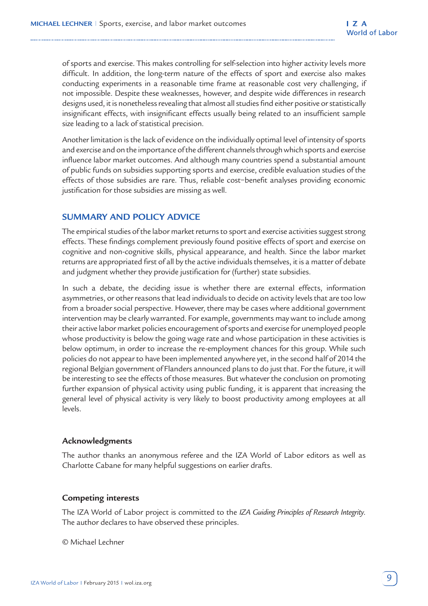of sports and exercise. This makes controlling for self-selection into higher activity levels more difficult. In addition, the long-term nature of the effects of sport and exercise also makes conducting experiments in a reasonable time frame at reasonable cost very challenging, if not impossible. Despite these weaknesses, however, and despite wide differences in research designs used, it is nonetheless revealing that almost all studies find either positive or statistically insignificant effects, with insignificant effects usually being related to an insufficient sample size leading to a lack of statistical precision.

Another limitation is the lack of evidence on the individually optimal level of intensity of sports and exercise and on the importance of the different channels through which sports and exercise influence labor market outcomes. And although many countries spend a substantial amount of public funds on subsidies supporting sports and exercise, credible evaluation studies of the effects of those subsidies are rare. Thus, reliable cost−benefit analyses providing economic justification for those subsidies are missing as well.

## **SUMMARY AND POLICY ADVICE**

The empirical studies of the labor market returns to sport and exercise activities suggest strong effects. These findings complement previously found positive effects of sport and exercise on cognitive and non-cognitive skills, physical appearance, and health. Since the labor market returns are appropriated first of all by the active individuals themselves, it is a matter of debate and judgment whether they provide justification for (further) state subsidies.

In such a debate, the deciding issue is whether there are external effects, information asymmetries, or other reasons that lead individuals to decide on activity levels that are too low from a broader social perspective. However, there may be cases where additional government intervention may be clearly warranted. For example, governments may want to include among their active labor market policies encouragement of sports and exercise for unemployed people whose productivity is below the going wage rate and whose participation in these activities is below optimum, in order to increase the re-employment chances for this group. While such policies do not appear to have been implemented anywhere yet, in the second half of 2014 the regional Belgian government of Flanders announced plans to do just that. For the future, it will be interesting to see the effects of those measures. But whatever the conclusion on promoting further expansion of physical activity using public funding, it is apparent that increasing the general level of physical activity is very likely to boost productivity among employees at all levels.

#### **Acknowledgments**

The author thanks an anonymous referee and the IZA World of Labor editors as well as Charlotte Cabane for many helpful suggestions on earlier drafts.

## **Competing interests**

The IZA World of Labor project is committed to the *IZA Guiding Principles of Research Integrity*. The author declares to have observed these principles.

© Michael Lechner